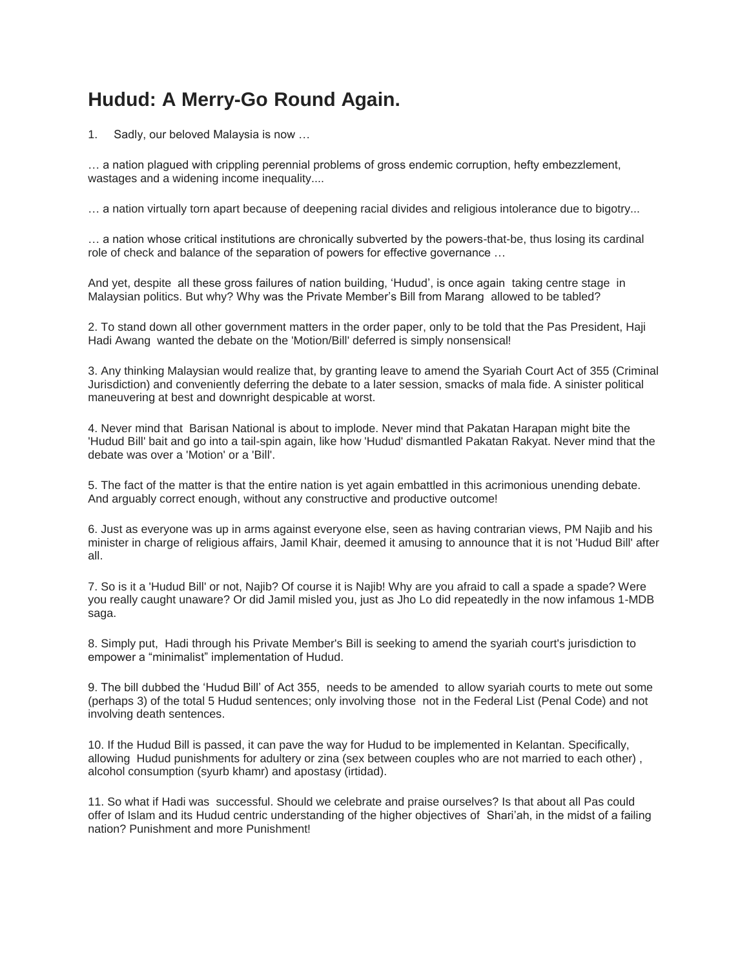## **Hudud: A Merry-Go Round Again.**

1. Sadly, our beloved Malaysia is now …

… a nation plagued with crippling perennial problems of gross endemic corruption, hefty embezzlement, wastages and a widening income inequality....

… a nation virtually torn apart because of deepening racial divides and religious intolerance due to bigotry...

… a nation whose critical institutions are chronically subverted by the powers-that-be, thus losing its cardinal role of check and balance of the separation of powers for effective governance …

And yet, despite all these gross failures of nation building, 'Hudud', is once again taking centre stage in Malaysian politics. But why? Why was the Private Member's Bill from Marang allowed to be tabled?

2. To stand down all other government matters in the order paper, only to be told that the Pas President, Haji Hadi Awang wanted the debate on the 'Motion/Bill' deferred is simply nonsensical!

3. Any thinking Malaysian would realize that, by granting leave to amend the Syariah Court Act of 355 (Criminal Jurisdiction) and conveniently deferring the debate to a later session, smacks of mala fide. A sinister political maneuvering at best and downright despicable at worst.

4. Never mind that Barisan National is about to implode. Never mind that Pakatan Harapan might bite the 'Hudud Bill' bait and go into a tail-spin again, like how 'Hudud' dismantled Pakatan Rakyat. Never mind that the debate was over a 'Motion' or a 'Bill'.

5. The fact of the matter is that the entire nation is yet again embattled in this acrimonious unending debate. And arguably correct enough, without any constructive and productive outcome!

6. Just as everyone was up in arms against everyone else, seen as having contrarian views, PM Najib and his minister in charge of religious affairs, Jamil Khair, deemed it amusing to announce that it is not 'Hudud Bill' after all.

7. So is it a 'Hudud Bill' or not, Najib? Of course it is Najib! Why are you afraid to call a spade a spade? Were you really caught unaware? Or did Jamil misled you, just as Jho Lo did repeatedly in the now infamous 1-MDB saga.

8. Simply put, Hadi through his Private Member's Bill is seeking to amend the syariah court's jurisdiction to empower a "minimalist" implementation of Hudud.

9. The bill dubbed the 'Hudud Bill' of Act 355, needs to be amended to allow syariah courts to mete out some (perhaps 3) of the total 5 Hudud sentences; only involving those not in the Federal List (Penal Code) and not involving death sentences.

10. If the Hudud Bill is passed, it can pave the way for Hudud to be implemented in Kelantan. Specifically, allowing Hudud punishments for adultery or zina (sex between couples who are not married to each other), alcohol consumption (syurb khamr) and apostasy (irtidad).

11. So what if Hadi was successful. Should we celebrate and praise ourselves? Is that about all Pas could offer of Islam and its Hudud centric understanding of the higher objectives of Shari'ah, in the midst of a failing nation? Punishment and more Punishment!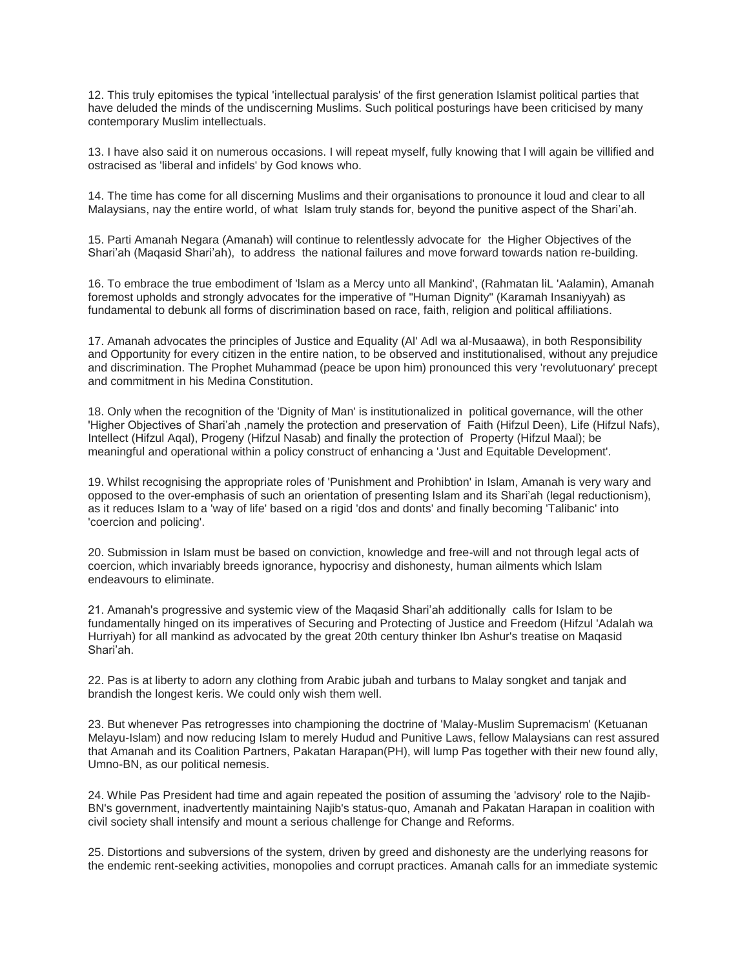12. This truly epitomises the typical 'intellectual paralysis' of the first generation Islamist political parties that have deluded the minds of the undiscerning Muslims. Such political posturings have been criticised by many contemporary Muslim intellectuals.

13. I have also said it on numerous occasions. I will repeat myself, fully knowing that l will again be villified and ostracised as 'liberal and infidels' by God knows who.

14. The time has come for all discerning Muslims and their organisations to pronounce it loud and clear to all Malaysians, nay the entire world, of what lslam truly stands for, beyond the punitive aspect of the Shari'ah.

15. Parti Amanah Negara (Amanah) will continue to relentlessly advocate for the Higher Objectives of the Shari'ah (Maqasid Shari'ah), to address the national failures and move forward towards nation re-building.

16. To embrace the true embodiment of 'lslam as a Mercy unto all Mankind', (Rahmatan liL 'Aalamin), Amanah foremost upholds and strongly advocates for the imperative of "Human Dignity" (Karamah Insaniyyah) as fundamental to debunk all forms of discrimination based on race, faith, religion and political affiliations.

17. Amanah advocates the principles of Justice and Equality (Al' Adl wa al-Musaawa), in both Responsibility and Opportunity for every citizen in the entire nation, to be observed and institutionalised, without any prejudice and discrimination. The Prophet Muhammad (peace be upon him) pronounced this very 'revolutuonary' precept and commitment in his Medina Constitution.

18. Only when the recognition of the 'Dignity of Man' is institutionalized in political governance, will the other 'Higher Objectives of Shari'ah ,namely the protection and preservation of Faith (Hifzul Deen), Life (Hifzul Nafs), Intellect (Hifzul Aqal), Progeny (Hifzul Nasab) and finally the protection of Property (Hifzul Maal); be meaningful and operational within a policy construct of enhancing a 'Just and Equitable Development'.

19. Whilst recognising the appropriate roles of 'Punishment and Prohibtion' in Islam, Amanah is very wary and opposed to the over-emphasis of such an orientation of presenting Islam and its Shari'ah (legal reductionism), as it reduces Islam to a 'way of life' based on a rigid 'dos and donts' and finally becoming 'Talibanic' into 'coercion and policing'.

20. Submission in Islam must be based on conviction, knowledge and free-will and not through legal acts of coercion, which invariably breeds ignorance, hypocrisy and dishonesty, human ailments which lslam endeavours to eliminate.

21. Amanah's progressive and systemic view of the Maqasid Shari'ah additionally calls for Islam to be fundamentally hinged on its imperatives of Securing and Protecting of Justice and Freedom (Hifzul 'Adalah wa Hurriyah) for all mankind as advocated by the great 20th century thinker Ibn Ashur's treatise on Maqasid Shari'ah.

22. Pas is at liberty to adorn any clothing from Arabic jubah and turbans to Malay songket and tanjak and brandish the longest keris. We could only wish them well.

23. But whenever Pas retrogresses into championing the doctrine of 'Malay-Muslim Supremacism' (Ketuanan Melayu-Islam) and now reducing Islam to merely Hudud and Punitive Laws, fellow Malaysians can rest assured that Amanah and its Coalition Partners, Pakatan Harapan(PH), will lump Pas together with their new found ally, Umno-BN, as our political nemesis.

24. While Pas President had time and again repeated the position of assuming the 'advisory' role to the Najib-BN's government, inadvertently maintaining Najib's status-quo, Amanah and Pakatan Harapan in coalition with civil society shall intensify and mount a serious challenge for Change and Reforms.

25. Distortions and subversions of the system, driven by greed and dishonesty are the underlying reasons for the endemic rent-seeking activities, monopolies and corrupt practices. Amanah calls for an immediate systemic